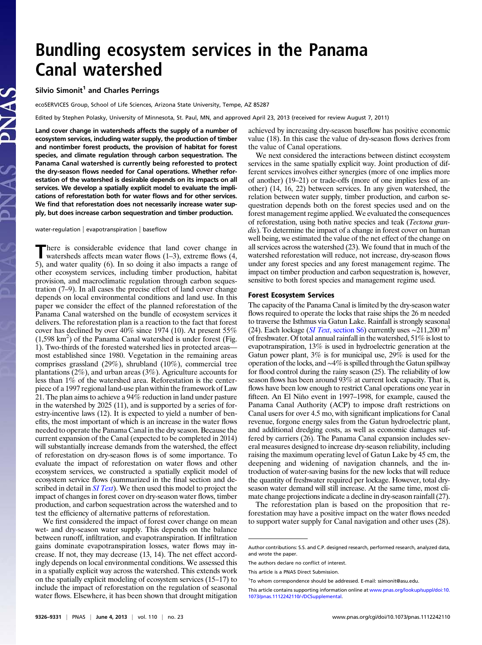# Bundling ecosystem services in the Panama Canal watershed

# Silvio Simonit<sup>1</sup> and Charles Perrings

ecoSERVICES Group, School of Life Sciences, Arizona State University, Tempe, AZ 85287

Edited by Stephen Polasky, University of Minnesota, St. Paul, MN, and approved April 23, 2013 (received for review August 7, 2011)

Land cover change in watersheds affects the supply of a number of ecosystem services, including water supply, the production of timber and nontimber forest products, the provision of habitat for forest species, and climate regulation through carbon sequestration. The Panama Canal watershed is currently being reforested to protect the dry-season flows needed for Canal operations. Whether reforestation of the watershed is desirable depends on its impacts on all services. We develop a spatially explicit model to evaluate the implications of reforestation both for water flows and for other services. We find that reforestation does not necessarily increase water supply, but does increase carbon sequestration and timber production.

water-regulation | evapotranspiration | baseflow

There is considerable evidence that land cover change in watersheds affects mean water flows (1–3), extreme flows (4, 5), and water quality (6). In so doing it also impacts a range of other ecosystem services, including timber production, habitat provision, and macroclimatic regulation through carbon sequestration (7–9). In all cases the precise effect of land cover change depends on local environmental conditions and land use. In this paper we consider the effect of the planned reforestation of the Panama Canal watershed on the bundle of ecosystem services it delivers. The reforestation plan is a reaction to the fact that forest cover has declined by over 40% since 1974 (10). At present 55%  $(1,598 \text{ km}^2)$  of the Panama Canal watershed is under forest (Fig. 1). Two-thirds of the forested watershed lies in protected areas most established since 1980. Vegetation in the remaining areas comprises grassland (29%), shrubland (10%), commercial tree plantations (2%), and urban areas (3%). Agriculture accounts for less than 1% of the watershed area. Reforestation is the centerpiece of a 1997 regional land-use plan within the framework of Law 21. The plan aims to achieve a 94% reduction in land under pasture in the watershed by 2025 (11), and is supported by a series of forestry-incentive laws (12). It is expected to yield a number of benefits, the most important of which is an increase in the water flows needed to operate the Panama Canal in the dry season. Because the current expansion of the Canal (expected to be completed in 2014) will substantially increase demands from the watershed, the effect of reforestation on dry-season flows is of some importance. To evaluate the impact of reforestation on water flows and other ecosystem services, we constructed a spatially explicit model of ecosystem service flows (summarized in the final section and de-scribed in detail in [SI Text](http://www.pnas.org/lookup/suppl/doi:10.1073/pnas.1112242110/-/DCSupplemental/pnas.201112242SI.pdf?targetid=nameddest=STXT)). We then used this model to project the impact of changes in forest cover on dry-season water flows, timber production, and carbon sequestration across the watershed and to test the efficiency of alternative patterns of reforestation.

We first considered the impact of forest cover change on mean wet- and dry-season water supply. This depends on the balance between runoff, infiltration, and evapotranspiration. If infiltration gains dominate evapotranspiration losses, water flows may increase. If not, they may decrease (13, 14). The net effect accordingly depends on local environmental conditions. We assessed this in a spatially explicit way across the watershed. This extends work on the spatially explicit modeling of ecosystem services (15–17) to include the impact of reforestation on the regulation of seasonal water flows. Elsewhere, it has been shown that drought mitigation achieved by increasing dry-season baseflow has positive economic value (18). In this case the value of dry-season flows derives from the value of Canal operations.

We next considered the interactions between distinct ecosystem services in the same spatially explicit way. Joint production of different services involves either synergies (more of one implies more of another) (19–21) or trade-offs (more of one implies less of another) (14, 16, 22) between services. In any given watershed, the relation between water supply, timber production, and carbon sequestration depends both on the forest species used and on the forest management regime applied. We evaluated the consequences of reforestation, using both native species and teak (Tectona grandis). To determine the impact of a change in forest cover on human well being, we estimated the value of the net effect of the change on all services across the watershed (23). We found that in much of the watershed reforestation will reduce, not increase, dry-season flows under any forest species and any forest management regime. The impact on timber production and carbon sequestration is, however, sensitive to both forest species and management regime used.

#### Forest Ecosystem Services

The capacity of the Panama Canal is limited by the dry-season water flows required to operate the locks that raise ships the 26 m needed to traverse the Isthmus via Gatun Lake. Rainfall is strongly seasonal (24). Each lockage (SI Text[, section S6\)](http://www.pnas.org/lookup/suppl/doi:10.1073/pnas.1112242110/-/DCSupplemental/pnas.201112242SI.pdf?targetid=nameddest=STXT) currently uses  $\sim$ 211,200 m<sup>3</sup> of freshwater. Of total annual rainfall in the watershed, 51% is lost to evapotranspiration, 13% is used in hydroelectric generation at the Gatun power plant, 3% is for municipal use, 29% is used for the operation of the locks, and∼4% is spilled through the Gatun spillway for flood control during the rainy season (25). The reliability of low season flows has been around 93% at current lock capacity. That is, flows have been low enough to restrict Canal operations one year in fifteen. An El Niño event in 1997–1998, for example, caused the Panama Canal Authority (ACP) to impose draft restrictions on Canal users for over 4.5 mo, with significant implications for Canal revenue, forgone energy sales from the Gatun hydroelectric plant, and additional dredging costs, as well as economic damages suffered by carriers (26). The Panama Canal expansion includes several measures designed to increase dry-season reliability, including raising the maximum operating level of Gatun Lake by 45 cm, the deepening and widening of navigation channels, and the introduction of water-saving basins for the new locks that will reduce the quantity of freshwater required per lockage. However, total dryseason water demand will still increase. At the same time, most climate change projections indicate a decline in dry-season rainfall (27).

The reforestation plan is based on the proposition that reforestation may have a positive impact on the water flows needed to support water supply for Canal navigation and other uses (28).

Author contributions: S.S. and C.P. designed research, performed research, analyzed data, and wrote the paper.

The authors declare no conflict of interest.

This article is a PNAS Direct Submission.

<sup>&</sup>lt;sup>1</sup>To whom correspondence should be addressed. E-mail: [ssimonit@asu.edu](mailto:ssimonit@asu.edu).

This article contains supporting information online at [www.pnas.org/lookup/suppl/doi:10.](http://www.pnas.org/lookup/suppl/doi:10.1073/pnas.1112242110/-/DCSupplemental) [1073/pnas.1112242110/-/DCSupplemental.](http://www.pnas.org/lookup/suppl/doi:10.1073/pnas.1112242110/-/DCSupplemental)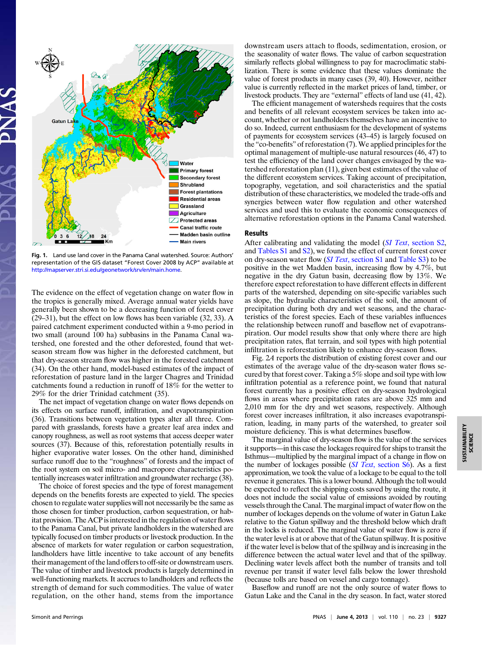

Fig. 1. Land use land cover in the Panama Canal watershed. Source: Authors' representation of the GIS dataset "Forest Cover 2008 by ACP" available at [http://mapserver.stri.si.edu/geonetwork/srv/en/main.home.](http://mapserver.stri.si.edu/geonetwork/srv/en/main.home)

The evidence on the effect of vegetation change on water flow in the tropics is generally mixed. Average annual water yields have generally been shown to be a decreasing function of forest cover (29–31), but the effect on low flows has been variable (32, 33). A paired catchment experiment conducted within a 9-mo period in two small (around 100 ha) subbasins in the Panama Canal watershed, one forested and the other deforested, found that wetseason stream flow was higher in the deforested catchment, but that dry-season stream flow was higher in the forested catchment (34). On the other hand, model-based estimates of the impact of reforestation of pasture land in the larger Chagres and Trinidad catchments found a reduction in runoff of 18% for the wetter to 29% for the drier Trinidad catchment (35).

The net impact of vegetation change on water flows depends on its effects on surface runoff, infiltration, and evapotranspiration (36). Transitions between vegetation types alter all three. Compared with grasslands, forests have a greater leaf area index and canopy roughness, as well as root systems that access deeper water sources (37). Because of this, reforestation potentially results in higher evaporative water losses. On the other hand, diminished surface runoff due to the "roughness" of forests and the impact of the root system on soil micro- and macropore characteristics potentially increases water infiltration and groundwater recharge (38).

The choice of forest species and the type of forest management depends on the benefits forests are expected to yield. The species chosen to regulate water supplies will not necessarily be the same as those chosen for timber production, carbon sequestration, or habitat provision. The ACP is interested in the regulation of water flows to the Panama Canal, but private landholders in the watershed are typically focused on timber products or livestock production. In the absence of markets for water regulation or carbon sequestration, landholders have little incentive to take account of any benefits their management of the land offers to off-site or downstream users. The value of timber and livestock products is largely determined in well-functioning markets. It accrues to landholders and reflects the strength of demand for such commodities. The value of water regulation, on the other hand, stems from the importance downstream users attach to floods, sedimentation, erosion, or the seasonality of water flows. The value of carbon sequestration similarly reflects global willingness to pay for macroclimatic stabilization. There is some evidence that these values dominate the value of forest products in many cases (39, 40). However, neither value is currently reflected in the market prices of land, timber, or livestock products. They are "external" effects of land use (41, 42).

The efficient management of watersheds requires that the costs and benefits of all relevant ecosystem services be taken into account, whether or not landholders themselves have an incentive to do so. Indeed, current enthusiasm for the development of systems of payments for ecosystem services (43–45) is largely focused on the "co-benefits" of reforestation (7). We applied principles for the optimal management of multiple-use natural resources (46, 47) to test the efficiency of the land cover changes envisaged by the watershed reforestation plan (11), given best estimates of the value of the different ecosystem services. Taking account of precipitation, topography, vegetation, and soil characteristics and the spatial distribution of these characteristics, we modeled the trade-offs and synergies between water flow regulation and other watershed services and used this to evaluate the economic consequences of alternative reforestation options in the Panama Canal watershed.

### Results

After calibrating and validating the model (SI Text[, section S2,](http://www.pnas.org/lookup/suppl/doi:10.1073/pnas.1112242110/-/DCSupplemental/pnas.201112242SI.pdf?targetid=nameddest=STXT) and [Tables S1](http://www.pnas.org/lookup/suppl/doi:10.1073/pnas.1112242110/-/DCSupplemental/pnas.201112242SI.pdf?targetid=nameddest=ST1) and [S2\)](http://www.pnas.org/lookup/suppl/doi:10.1073/pnas.1112242110/-/DCSupplemental/pnas.201112242SI.pdf?targetid=nameddest=ST2), we found the effect of current forest cover on dry-season water flow (SI Text[, section S1](http://www.pnas.org/lookup/suppl/doi:10.1073/pnas.1112242110/-/DCSupplemental/pnas.201112242SI.pdf?targetid=nameddest=STXT) and [Table S3](http://www.pnas.org/lookup/suppl/doi:10.1073/pnas.1112242110/-/DCSupplemental/pnas.201112242SI.pdf?targetid=nameddest=ST3)) to be positive in the wet Madden basin, increasing flow by 4.7%, but negative in the dry Gatun basin, decreasing flow by 13%. We therefore expect reforestation to have different effects in different parts of the watershed, depending on site-specific variables such as slope, the hydraulic characteristics of the soil, the amount of precipitation during both dry and wet seasons, and the characteristics of the forest species. Each of these variables influences the relationship between runoff and baseflow net of evapotranspiration. Our model results show that only where there are high precipitation rates, flat terrain, and soil types with high potential infiltration is reforestation likely to enhance dry-season flows.

Fig. 2A reports the distribution of existing forest cover and our estimates of the average value of the dry-season water flows secured by that forest cover. Taking a 5% slope and soil type with low infiltration potential as a reference point, we found that natural forest currently has a positive effect on dry-season hydrological flows in areas where precipitation rates are above 325 mm and 2,010 mm for the dry and wet seasons, respectively. Although forest cover increases infiltration, it also increases evapotranspiration, leading, in many parts of the watershed, to greater soil moisture deficiency. This is what determines baseflow.

The marginal value of dry-season flow is the value of the services it supports—in this case the lockages required for ships to transit the Isthmus—multiplied by the marginal impact of a change in flow on the number of lockages possible (SI Text[, section S6](http://www.pnas.org/lookup/suppl/doi:10.1073/pnas.1112242110/-/DCSupplemental/pnas.201112242SI.pdf?targetid=nameddest=STXT)). As a first approximation, we took the value of a lockage to be equal to the toll revenue it generates. This is a lower bound. Although the toll would be expected to reflect the shipping costs saved by using the route, it does not include the social value of emissions avoided by routing vessels through the Canal. The marginal impact of water flow on the number of lockages depends on the volume of water in Gatun Lake relative to the Gatun spillway and the threshold below which draft in the locks is reduced. The marginal value of water flow is zero if the water level is at or above that of the Gatun spillway. It is positive if the water level is below that of the spillway and is increasing in the difference between the actual water level and that of the spillway. Declining water levels affect both the number of transits and toll revenue per transit if water level falls below the lower threshold (because tolls are based on vessel and cargo tonnage).

Baseflow and runoff are not the only source of water flows to Gatun Lake and the Canal in the dry season. In fact, water stored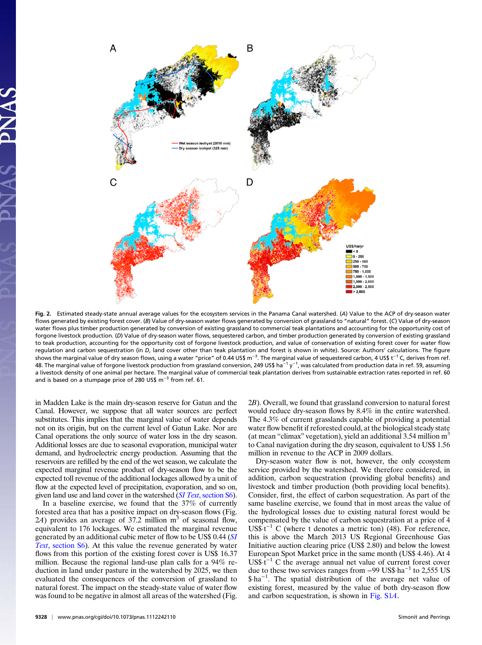

Fig. 2. Estimated steady-state annual average values for the ecosystem services in the Panama Canal watershed. (A) Value to the ACP of dry-season water flows generated by existing forest cover. (B) Value of dry-season water flows generated by conversion of grassland to "natural" forest. (C) Value of dry-season water flows plus timber production generated by conversion of existing grassland to commercial teak plantations and accounting for the opportunity cost of forgone livestock production. (D) Value of dry-season water flows, sequestered carbon, and timber production generated by conversion of existing grassland to teak production, accounting for the opportunity cost of forgone livestock production, and value of conservation of existing forest cover for water flow regulation and carbon sequestration (in D, land cover other than teak plantation and forest is shown in white). Source: Authors' calculations. The figure shows the marginal value of dry season flows, using a water "price" of 0.44 US\$ m<sup>−3</sup>. The marginal value of sequestered carbon, 4 US\$ t<sup>−1</sup> C, derives from ref. 48. The marginal value of forgone livestock production from grassland conversion, 249 US\$ ha<sup>−1</sup> y<sup>−1</sup>, was calculated from production data in ref. 59, assuming a livestock density of one animal per hectare. The marginal value of commercial teak plantation derives from sustainable extraction rates reported in ref. 60 and is based on a stumpage price of 280 US\$ m−<sup>3</sup> from ref. 61.

in Madden Lake is the main dry-season reserve for Gatun and the Canal. However, we suppose that all water sources are perfect substitutes. This implies that the marginal value of water depends not on its origin, but on the current level of Gatun Lake. Nor are Canal operations the only source of water loss in the dry season. Additional losses are due to seasonal evaporation, municipal water demand, and hydroelectric energy production. Assuming that the reservoirs are refilled by the end of the wet season, we calculate the expected marginal revenue product of dry-season flow to be the expected toll revenue of the additional lockages allowed by a unit of flow at the expected level of precipitation, evaporation, and so on, given land use and land cover in the watershed (*SI Text*[, section S6](http://www.pnas.org/lookup/suppl/doi:10.1073/pnas.1112242110/-/DCSupplemental/pnas.201112242SI.pdf?targetid=nameddest=STXT)).

In a baseline exercise, we found that the 37% of currently forested area that has a positive impact on dry-season flows (Fig. 24) provides an average of 37.2 million  $m<sup>3</sup>$  of seasonal flow, equivalent to 176 lockages. We estimated the marginal revenue generated by an additional cubic meter of flow to be US\$ 0.44 ([SI](http://www.pnas.org/lookup/suppl/doi:10.1073/pnas.1112242110/-/DCSupplemental/pnas.201112242SI.pdf?targetid=nameddest=STXT) Text[, section S6](http://www.pnas.org/lookup/suppl/doi:10.1073/pnas.1112242110/-/DCSupplemental/pnas.201112242SI.pdf?targetid=nameddest=STXT)). At this value the revenue generated by water flows from this portion of the existing forest cover is US\$ 16.37 million. Because the regional land-use plan calls for a 94% reduction in land under pasture in the watershed by 2025, we then evaluated the consequences of the conversion of grassland to natural forest. The impact on the steady-state value of water flow was found to be negative in almost all areas of the watershed (Fig. 2B). Overall, we found that grassland conversion to natural forest would reduce dry-season flows by 8.4% in the entire watershed. The 4.3% of current grasslands capable of providing a potential water flow benefit if reforested could, at the biological steady state (at mean "climax" vegetation), yield an additional 3.54 million  $m<sup>3</sup>$ to Canal navigation during the dry season, equivalent to US\$ 1.56 million in revenue to the ACP in 2009 dollars.

Dry-season water flow is not, however, the only ecosystem service provided by the watershed. We therefore considered, in addition, carbon sequestration (providing global benefits) and livestock and timber production (both providing local benefits). Consider, first, the effect of carbon sequestration. As part of the same baseline exercise, we found that in most areas the value of the hydrological losses due to existing natural forest would be compensated by the value of carbon sequestration at a price of 4 US\$ $\cdot$ t<sup>-1</sup> C (where t denotes a metric ton) (48). For reference, this is above the March 2013 US Regional Greenhouse Gas Initiative auction clearing price (US\$ 2.80) and below the lowest European Spot Market price in the same month (US\$ 4.46). At 4 US\$ $\cdot t^{-1}$  C the average annual net value of current forest cover due to these two services ranges from −99 US\$·ha−<sup>1</sup> to 2,555 US \$·ha−<sup>1</sup> . The spatial distribution of the average net value of existing forest, measured by the value of both dry-season flow and carbon sequestration, is shown in [Fig. S1](http://www.pnas.org/lookup/suppl/doi:10.1073/pnas.1112242110/-/DCSupplemental/pnas.201112242SI.pdf?targetid=nameddest=SF1)A.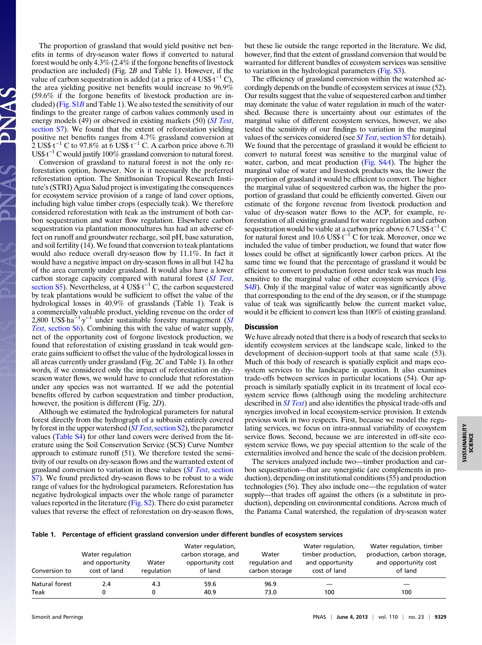The proportion of grassland that would yield positive net benefits in terms of dry-season water flows if converted to natural forest would be only 4.3% (2.4% if the forgone benefits of livestock production are included) (Fig. 2B and Table 1). However, if the value of carbon sequestration is added (at a price of 4 US\$ $\cdot$ t<sup>-1</sup> C), the area yielding positive net benefits would increase to 96.9% (59.6% if the forgone benefits of livestock production are included) (Fig.  $S1B$  and Table 1). We also tested the sensitivity of our findings to the greater range of carbon values commonly used in energy models (49) or observed in existing markets (50) (*[SI Text](http://www.pnas.org/lookup/suppl/doi:10.1073/pnas.1112242110/-/DCSupplemental/pnas.201112242SI.pdf?targetid=nameddest=STXT)*, [section S7\)](http://www.pnas.org/lookup/suppl/doi:10.1073/pnas.1112242110/-/DCSupplemental/pnas.201112242SI.pdf?targetid=nameddest=STXT). We found that the extent of reforestation yielding positive net benefits ranges from 4.7% grassland conversion at  $2 \text{ US$\mathbb{S}$} \cdot \text{t}^{-1} \text{ C}$  to 97.8% at 6 US\$ $\cdot \text{t}^{-1} \text{ C}$ . A carbon price above 6.70 US\$ $t^{-1}$  C would justify 100% grassland conversion to natural forest.

Conversion of grassland to natural forest is not the only reforestation option, however. Nor is it necessarily the preferred reforestation option. The Smithsonian Tropical Research Institute's (STRI) Agua Salud project is investigating the consequences for ecosystem service provision of a range of land cover options, including high value timber crops (especially teak). We therefore considered reforestation with teak as the instrument of both carbon sequestration and water flow regulation. Elsewhere carbon sequestration via plantation monocultures has had an adverse effect on runoff and groundwater recharge, soil pH, base saturation, and soil fertility (14). We found that conversion to teak plantations would also reduce overall dry-season flow by 11.1%. In fact it would have a negative impact on dry-season flows in all but 142 ha of the area currently under grassland. It would also have a lower carbon storage capacity compared with natural forest ([SI Text](http://www.pnas.org/lookup/suppl/doi:10.1073/pnas.1112242110/-/DCSupplemental/pnas.201112242SI.pdf?targetid=nameddest=STXT), [section S5](http://www.pnas.org/lookup/suppl/doi:10.1073/pnas.1112242110/-/DCSupplemental/pnas.201112242SI.pdf?targetid=nameddest=STXT)). Nevertheless, at  $\overline{4}$  US\$  $t^{-1}$  C, the carbon sequestered by teak plantations would be sufficient to offset the value of the hydrological losses in 40.9% of grasslands (Table 1). Teak is a commercially valuable product, yielding revenue on the order of 2,800 US\$·ha<sup> $-1$ </sup>·y<sup>-1</sup> under sustainable forestry management ([SI](http://www.pnas.org/lookup/suppl/doi:10.1073/pnas.1112242110/-/DCSupplemental/pnas.201112242SI.pdf?targetid=nameddest=STXT) Text[, section S6](http://www.pnas.org/lookup/suppl/doi:10.1073/pnas.1112242110/-/DCSupplemental/pnas.201112242SI.pdf?targetid=nameddest=STXT)). Combining this with the value of water supply, net of the opportunity cost of forgone livestock production, we found that reforestation of existing grassland in teak would generate gains sufficient to offset the value of the hydrological losses in all areas currently under grassland (Fig. 2C and Table 1). In other words, if we considered only the impact of reforestation on dryseason water flows, we would have to conclude that reforestation under any species was not warranted. If we add the potential benefits offered by carbon sequestration and timber production, however, the position is different (Fig. 2D).

Although we estimated the hydrological parameters for natural forest directly from the hydrograph of a subbasin entirely covered by forest in the upper watershed (SI Text[, section S2](http://www.pnas.org/lookup/suppl/doi:10.1073/pnas.1112242110/-/DCSupplemental/pnas.201112242SI.pdf?targetid=nameddest=STXT)), the parameter values [\(Table S4](http://www.pnas.org/lookup/suppl/doi:10.1073/pnas.1112242110/-/DCSupplemental/pnas.201112242SI.pdf?targetid=nameddest=ST4)) for other land covers were derived from the literature using the Soil Conservation Service (SCS) Curve Number approach to estimate runoff (51). We therefore tested the sensitivity of our results on dry-season flows and the warranted extent of grassland conversion to variation in these values (SI Text[, section](http://www.pnas.org/lookup/suppl/doi:10.1073/pnas.1112242110/-/DCSupplemental/pnas.201112242SI.pdf?targetid=nameddest=STXT) [S7\)](http://www.pnas.org/lookup/suppl/doi:10.1073/pnas.1112242110/-/DCSupplemental/pnas.201112242SI.pdf?targetid=nameddest=STXT). We found predicted dry-season flows to be robust to a wide range of values for the hydrological parameters. Reforestation has negative hydrological impacts over the whole range of parameter values reported in the literature [\(Fig. S2\)](http://www.pnas.org/lookup/suppl/doi:10.1073/pnas.1112242110/-/DCSupplemental/pnas.201112242SI.pdf?targetid=nameddest=SF2). There do exist parameter values that reverse the effect of reforestation on dry-season flows,

but these lie outside the range reported in the literature. We did, however, find that the extent of grassland conversion that would be warranted for different bundles of ecosystem services was sensitive to variation in the hydrological parameters [\(Fig. S3](http://www.pnas.org/lookup/suppl/doi:10.1073/pnas.1112242110/-/DCSupplemental/pnas.201112242SI.pdf?targetid=nameddest=SF3)).

The efficiency of grassland conversion within the watershed accordingly depends on the bundle of ecosystem services at issue (52). Our results suggest that the value of sequestered carbon and timber may dominate the value of water regulation in much of the watershed. Because there is uncertainty about our estimates of the marginal value of different ecosystem services, however, we also tested the sensitivity of our findings to variation in the marginal values of the services considered (see SI Text[, section S7](http://www.pnas.org/lookup/suppl/doi:10.1073/pnas.1112242110/-/DCSupplemental/pnas.201112242SI.pdf?targetid=nameddest=STXT) for details). We found that the percentage of grassland it would be efficient to convert to natural forest was sensitive to the marginal value of water, carbon, and meat production [\(Fig. S4](http://www.pnas.org/lookup/suppl/doi:10.1073/pnas.1112242110/-/DCSupplemental/pnas.201112242SI.pdf?targetid=nameddest=SF4)A). The higher the marginal value of water and livestock products was, the lower the proportion of grassland it would be efficient to convert. The higher the marginal value of sequestered carbon was, the higher the proportion of grassland that could be efficiently converted. Given our estimate of the forgone revenue from livestock production and value of dry-season water flows to the ACP, for example, reforestation of all existing grassland for water regulation and carbon sequestration would be viable at a carbon price above 6.7 US\$ $t^{-1}$  C for natural forest and 10.6 US\$ $\cdot$ t<sup>-1</sup> C for teak. Moreover, once we included the value of timber production, we found that water flow losses could be offset at significantly lower carbon prices. At the same time we found that the percentage of grassland it would be efficient to convert to production forest under teak was much less sensitive to the marginal value of other ecosystem services ([Fig.](http://www.pnas.org/lookup/suppl/doi:10.1073/pnas.1112242110/-/DCSupplemental/pnas.201112242SI.pdf?targetid=nameddest=SF4) [S4](http://www.pnas.org/lookup/suppl/doi:10.1073/pnas.1112242110/-/DCSupplemental/pnas.201112242SI.pdf?targetid=nameddest=SF4)B). Only if the marginal value of water was significantly above that corresponding to the end of the dry season, or if the stumpage value of teak was significantly below the current market value, would it be efficient to convert less than 100% of existing grassland.

## Discussion

We have already noted that there is a body of research that seeks to identify ecosystem services at the landscape scale, linked to the development of decision-support tools at that same scale (53). Much of this body of research is spatially explicit and maps ecosystem services to the landscape in question. It also examines trade-offs between services in particular locations (54). Our approach is similarly spatially explicit in its treatment of local ecosystem service flows (although using the modeling architecture described in *[SI Text](http://www.pnas.org/lookup/suppl/doi:10.1073/pnas.1112242110/-/DCSupplemental/pnas.201112242SI.pdf?targetid=nameddest=STXT)*) and also identifies the physical trade-offs and synergies involved in local ecosystem-service provision. It extends previous work in two respects. First, because we model the regulating services, we focus on intra-annual variability of ecosystem service flows. Second, because we are interested in off-site ecosystem service flows, we pay special attention to the scale of the externalities involved and hence the scale of the decision problem.

The services analyzed include two—timber production and carbon sequestration—that are synergistic (are complements in production), depending on institutional conditions (55) and production technologies (56). They also include one—the regulation of water supply—that trades off against the others (is a substitute in production), depending on environmental conditions. Across much of the Panama Canal watershed, the regulation of dry-season water

#### Table 1. Percentage of efficient grassland conversion under different bundles of ecosystem services

| Conversion to  | Water regulation<br>and opportunity<br>cost of land | Water<br>regulation | Water regulation,<br>carbon storage, and<br>opportunity cost<br>of land | Water<br>regulation and<br>carbon storage | Water regulation,<br>timber production,<br>and opportunity<br>cost of land | Water regulation, timber<br>production, carbon storage,<br>and opportunity cost<br>of land |
|----------------|-----------------------------------------------------|---------------------|-------------------------------------------------------------------------|-------------------------------------------|----------------------------------------------------------------------------|--------------------------------------------------------------------------------------------|
| Natural forest | 2.4                                                 | 4.3                 | 59.6                                                                    | 96.9                                      |                                                                            |                                                                                            |
| Teak           |                                                     |                     | 40.9                                                                    | 73.0                                      | 100                                                                        | 100                                                                                        |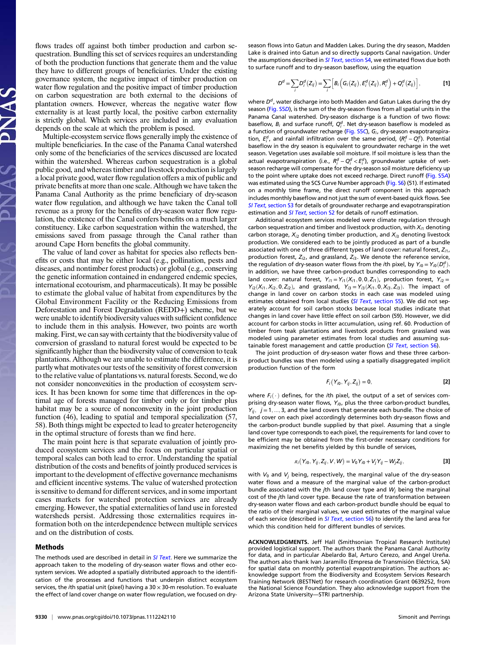flows trades off against both timber production and carbon sequestration. Bundling this set of services requires an understanding of both the production functions that generate them and the value they have to different groups of beneficiaries. Under the existing governance system, the negative impact of timber production on water flow regulation and the positive impact of timber production on carbon sequestration are both external to the decisions of plantation owners. However, whereas the negative water flow externality is at least partly local, the positive carbon externality is strictly global. Which services are included in any evaluation depends on the scale at which the problem is posed.

Multiple-ecosystem service flows generally imply the existence of multiple beneficiaries. In the case of the Panama Canal watershed only some of the beneficiaries of the services discussed are located within the watershed. Whereas carbon sequestration is a global public good, and whereas timber and livestock production is largely a local private good, water flow regulation offers a mix of public and private benefits at more than one scale. Although we have taken the Panama Canal Authority as the prime beneficiary of dry-season water flow regulation, and although we have taken the Canal toll revenue as a proxy for the benefits of dry-season water flow regulation, the existence of the Canal confers benefits on a much larger constituency. Like carbon sequestration within the watershed, the emissions saved from passage through the Canal rather than around Cape Horn benefits the global community.

The value of land cover as habitat for species also reflects benefits or costs that may be either local (e.g., pollination, pests and diseases, and nontimber forest products) or global (e.g., conserving the genetic information contained in endangered endemic species, international ecotourism, and pharmaceuticals). It may be possible to estimate the global value of habitat from expenditures by the Global Environment Facility or the Reducing Emissions from Deforestation and Forest Degradation (REDD+) scheme, but we were unable to identify biodiversity values with sufficient confidence to include them in this analysis. However, two points are worth making. First, we can say with certainty that the biodiversity value of conversion of grassland to natural forest would be expected to be significantly higher than the biodiversity value of conversion to teak plantations. Although we are unable to estimate the difference, it is partly what motivates our tests of the sensitivity of forest conversion to the relative value of plantations vs. natural forests. Second, we do not consider nonconvexities in the production of ecosystem services. It has been known for some time that differences in the optimal age of forests managed for timber only or for timber plus habitat may be a source of nonconvexity in the joint production function (46), leading to spatial and temporal specialization (57, 58). Both things might be expected to lead to greater heterogeneity in the optimal structure of forests than we find here.

The main point here is that separate evaluation of jointly produced ecosystem services and the focus on particular spatial or temporal scales can both lead to error. Understanding the spatial distribution of the costs and benefits of jointly produced services is important to the development of effective governance mechanisms and efficient incentive systems. The value of watershed protection is sensitive to demand for different services, and in some important cases markets for watershed protection services are already emerging. However, the spatial externalities of land use in forested watersheds persist. Addressing those externalities requires information both on the interdependence between multiple services and on the distribution of costs.

#### Methods

The methods used are described in detail in [SI Text](http://www.pnas.org/lookup/suppl/doi:10.1073/pnas.1112242110/-/DCSupplemental/pnas.201112242SI.pdf?targetid=nameddest=STXT). Here we summarize the approach taken to the modeling of dry-season water flows and other ecosystem services. We adopted a spatially distributed approach to the identification of the processes and functions that underpin distinct ecosystem services, the *i*th spatial unit (pixel) having a 30  $\times$  30-m resolution. To evaluate the effect of land cover change on water flow regulation, we focused on dryseason flows into Gatun and Madden Lakes. During the dry season, Madden Lake is drained into Gatun and so directly supports Canal navigation. Under the assumptions described in SI Text[, section S4](http://www.pnas.org/lookup/suppl/doi:10.1073/pnas.1112242110/-/DCSupplemental/pnas.201112242SI.pdf?targetid=nameddest=STXT), we estimated flows due both to surface runoff and to dry-season baseflow, using the equation

$$
D^{d} = \sum_{i} D_{i}^{d} (Z_{ij}) = \sum_{i} \left[ B_{i} \left( G_{i} (Z_{ij}), E_{i}^{d} (Z_{ij}), R_{i}^{d} \right) + Q_{i}^{d} (Z_{ij}) \right],
$$
 [1]

where  $D<sup>d</sup>$ , water discharge into both Madden and Gatun Lakes during the dry season [\(Fig. S5](http://www.pnas.org/lookup/suppl/doi:10.1073/pnas.1112242110/-/DCSupplemental/pnas.201112242SI.pdf?targetid=nameddest=SF5)D), is the sum of the dry-season flows from all spatial units in the Panama Canal watershed. Dry-season discharge is a function of two flows: baseflow,  $B_i$  and surface runoff,  $Q_i^d$ . Net dry-season baseflow is modeled as a function of groundwater recharge [\(Fig. S5](http://www.pnas.org/lookup/suppl/doi:10.1073/pnas.1112242110/-/DCSupplemental/pnas.201112242SI.pdf?targetid=nameddest=SF5)C),  $G_i$ , dry-season evapotranspiration,  $E_i^d$ , and rainfall infiltration over the same period,  $(R_i^d - Q_i^d)$ . Potential baseflow in the dry season is equivalent to groundwater recharge in the wet season. Vegetation uses available soil moisture. If soil moisture is less than the actual evapotranspiration (i.e.,  $R_i^d - Q_i^d < E_i^d$ ), groundwater uptake of wetseason recharge will compensate for the dry-season soil moisture deficiency up to the point where uptake does not exceed recharge. Direct runoff ([Fig. S5](http://www.pnas.org/lookup/suppl/doi:10.1073/pnas.1112242110/-/DCSupplemental/pnas.201112242SI.pdf?targetid=nameddest=SF5)A) was estimated using the SCS Curve Number approach ([Fig. S6](http://www.pnas.org/lookup/suppl/doi:10.1073/pnas.1112242110/-/DCSupplemental/pnas.201112242SI.pdf?targetid=nameddest=SF6)) (51). If estimated on a monthly time frame, the direct runoff component in this approach includes monthly baseflow and not just the sum of event-based quick flows. See SI Text[, section S3](http://www.pnas.org/lookup/suppl/doi:10.1073/pnas.1112242110/-/DCSupplemental/pnas.201112242SI.pdf?targetid=nameddest=STXT) for details of groundwater recharge and evapotranspiration estimation and SI Text[, section S2](http://www.pnas.org/lookup/suppl/doi:10.1073/pnas.1112242110/-/DCSupplemental/pnas.201112242SI.pdf?targetid=nameddest=STXT) for details of runoff estimation.

Additional ecosystem services modeled were climate regulation through carbon sequestration and timber and livestock production, with  $X_{i1}$  denoting carbon storage,  $X_{i2}$  denoting timber production, and  $X_{i3}$  denoting livestock production. We considered each to be jointly produced as part of a bundle associated with one of three different types of land cover: natural forest,  $Z_{i1}$ , production forest,  $Z_{i2}$ , and grassland,  $Z_{i3}$ . We denote the reference service, the regulation of dry-season water flows from the *i*th pixel, by  $Y_{i0} = Y_{i0}(D_i^d)$ . In addition, we have three carbon-product bundles corresponding to each land cover: natural forest,  $Y_{i1} = Y_{i1}(X_{i1}, 0, 0, Z_{i1})$ , production forest,  $Y_{i2} =$  $Y_{i2}(X_{i1}, X_{i2}, 0, Z_{i2})$ , and grassland,  $Y_{i3} = Y_{i3}(X_{i1}, 0, X_{i3}, Z_{i3})$ . The impact of change in land cover on carbon stocks in each case was modeled using estimates obtained from local studies (SI Text[, section S5](http://www.pnas.org/lookup/suppl/doi:10.1073/pnas.1112242110/-/DCSupplemental/pnas.201112242SI.pdf?targetid=nameddest=STXT)). We did not separately account for soil carbon stocks because local studies indicate that changes in land cover have little effect on soil carbon (59). However, we did account for carbon stocks in litter accumulation, using ref. 60. Production of timber from teak plantations and livestock products from grassland was modeled using parameter estimates from local studies and assuming sus-tainable forest management and cattle production (SI Text[, section S6](http://www.pnas.org/lookup/suppl/doi:10.1073/pnas.1112242110/-/DCSupplemental/pnas.201112242SI.pdf?targetid=nameddest=STXT)).

The joint production of dry-season water flows and these three carbonproduct bundles was then modeled using a spatially disaggregated implicit production function of the form

$$
F_i(Y_{i0}, Y_{ij}, Z_{ij}) = 0, \qquad [2]
$$

where  $F_i(\cdot)$  defines, for the *i*th pixel, the output of a set of services comprising dry-season water flows,  $Y_{i0}$ , plus the three carbon-product bundles,  $Y_{ii}, j = 1, ..., 3$ , and the land covers that generate each bundle. The choice of land cover on each pixel accordingly determines both dry-season flows and the carbon-product bundle supplied by that pixel. Assuming that a single land cover type corresponds to each pixel, the requirements for land cover to be efficient may be obtained from the first-order necessary conditions for maximizing the net benefits yielded by this bundle of services,

$$
\pi_i(Y_{i0}, Y_{ij}, Z_{ij}, V, W) = V_0 Y_{i0} + V_j Y_{ij} - W_j Z_{ij},
$$
\n[3]

with  $V_0$  and  $V_i$  being, respectively, the marginal value of the dry-season water flows and a measure of the marginal value of the carbon-product bundle associated with the jth land cover type and  $W_i$  being the marginal cost of the jth land cover type. Because the rate of transformation between dry-season water flows and each carbon-product bundle should be equal to the ratio of their marginal values, we used estimates of the marginal value of each service (described in SI Text[, section S6](http://www.pnas.org/lookup/suppl/doi:10.1073/pnas.1112242110/-/DCSupplemental/pnas.201112242SI.pdf?targetid=nameddest=STXT)) to identify the land area for which this condition held for different bundles of services.

ACKNOWLEDGMENTS. Jeff Hall (Smithsonian Tropical Research Institute) provided logistical support. The authors thank the Panama Canal Authority for data, and in particular Abelardo Bal, Arturo Cerezo, and Angel Ureña. The authors also thank Ivan Jaramillo (Empresa de Transmisión Eléctrica, SA) for spatial data on monthly potential evapotranspiration. The authors acknowledge support from the Biodiversity and Ecosystem Services Research Training Network (BESTNet) for research coordination Grant 0639252, from the National Science Foundation. They also acknowledge support from the Arizona State University—STRI partnership.